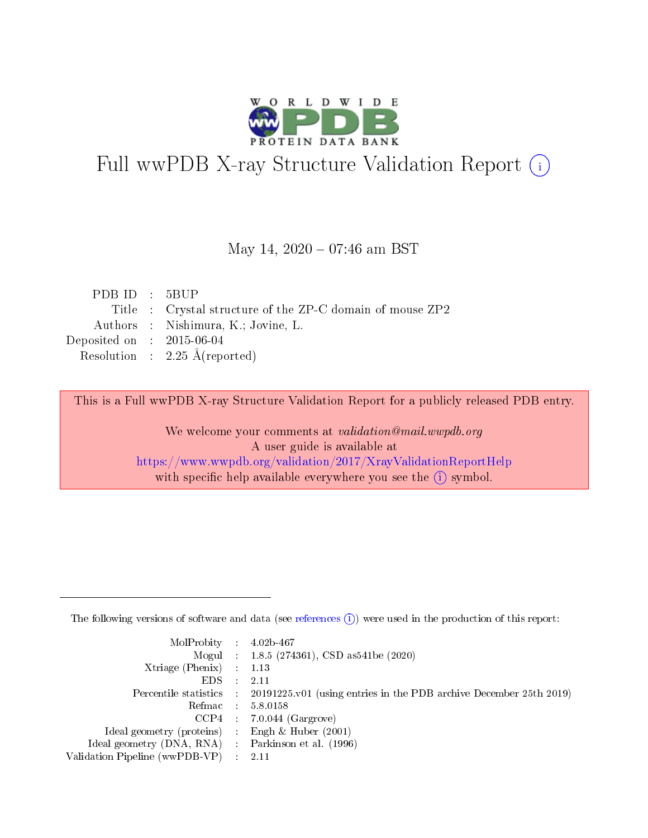

# Full wwPDB X-ray Structure Validation Report (i)

### May 14,  $2020 - 07:46$  am BST

| PDBID : 5BUP                |                                                           |
|-----------------------------|-----------------------------------------------------------|
|                             | Title : Crystal structure of the ZP-C domain of mouse ZP2 |
|                             | Authors : Nishimura, K.; Jovine, L.                       |
| Deposited on : $2015-06-04$ |                                                           |
|                             | Resolution : $2.25 \text{ Å}$ (reported)                  |
|                             |                                                           |

This is a Full wwPDB X-ray Structure Validation Report for a publicly released PDB entry.

We welcome your comments at validation@mail.wwpdb.org A user guide is available at <https://www.wwpdb.org/validation/2017/XrayValidationReportHelp> with specific help available everywhere you see the  $(i)$  symbol.

The following versions of software and data (see [references](https://www.wwpdb.org/validation/2017/XrayValidationReportHelp#references)  $(1)$ ) were used in the production of this report:

| $MolProbability$ : 4.02b-467                        |                                                                                            |
|-----------------------------------------------------|--------------------------------------------------------------------------------------------|
|                                                     | Mogul : $1.8.5$ (274361), CSD as 541be (2020)                                              |
| Xtriage (Phenix) $: 1.13$                           |                                                                                            |
| EDS                                                 | -2.11                                                                                      |
|                                                     | Percentile statistics : 20191225.v01 (using entries in the PDB archive December 25th 2019) |
| Refmac 58.0158                                      |                                                                                            |
|                                                     | $CCP4$ 7.0.044 (Gargrove)                                                                  |
| Ideal geometry (proteins) : Engh $\&$ Huber (2001)  |                                                                                            |
| Ideal geometry (DNA, RNA) : Parkinson et al. (1996) |                                                                                            |
| Validation Pipeline (wwPDB-VP) : 2.11               |                                                                                            |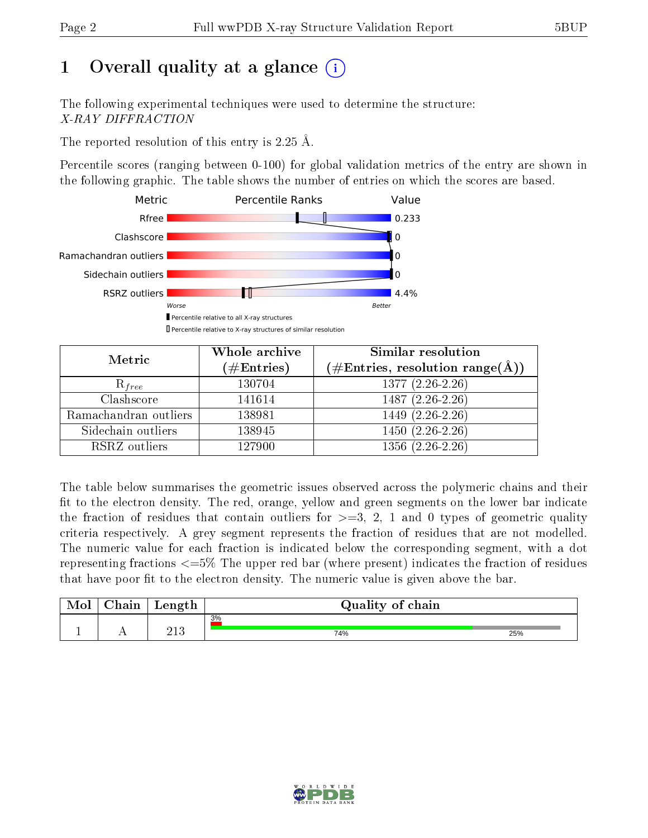# 1 [O](https://www.wwpdb.org/validation/2017/XrayValidationReportHelp#overall_quality)verall quality at a glance  $(i)$

The following experimental techniques were used to determine the structure: X-RAY DIFFRACTION

The reported resolution of this entry is 2.25 Å.

Percentile scores (ranging between 0-100) for global validation metrics of the entry are shown in the following graphic. The table shows the number of entries on which the scores are based.



| Metric                | Whole archive       | Similar resolution                                                        |
|-----------------------|---------------------|---------------------------------------------------------------------------|
|                       | (# $\rm{Entries}$ ) | $(\#\text{Entries},\,\text{resolution}\,\,\text{range}(\textup{\AA})\, )$ |
| $R_{free}$            | 130704              | $1377(2.26-2.26)$                                                         |
| Clashscore            | 141614              | $1487(2.26-2.26)$                                                         |
| Ramachandran outliers | 138981              | $1449$ $(2.\overline{26-2.26})$                                           |
| Sidechain outliers    | 138945              | $1450(2.26-2.26)$                                                         |
| RSRZ outliers         | 127900              | $1356(2.26-2.26)$                                                         |

The table below summarises the geometric issues observed across the polymeric chains and their fit to the electron density. The red, orange, yellow and green segments on the lower bar indicate the fraction of residues that contain outliers for  $>=3, 2, 1$  and 0 types of geometric quality criteria respectively. A grey segment represents the fraction of residues that are not modelled. The numeric value for each fraction is indicated below the corresponding segment, with a dot representing fractions <=5% The upper red bar (where present) indicates the fraction of residues that have poor fit to the electron density. The numeric value is given above the bar.

| Mol | $\cap$ hain | Length      | Quality of chain |     |
|-----|-------------|-------------|------------------|-----|
|     |             |             | 3%               |     |
|     |             | า1 ว<br>∠⊥∪ | 74%              | 25% |

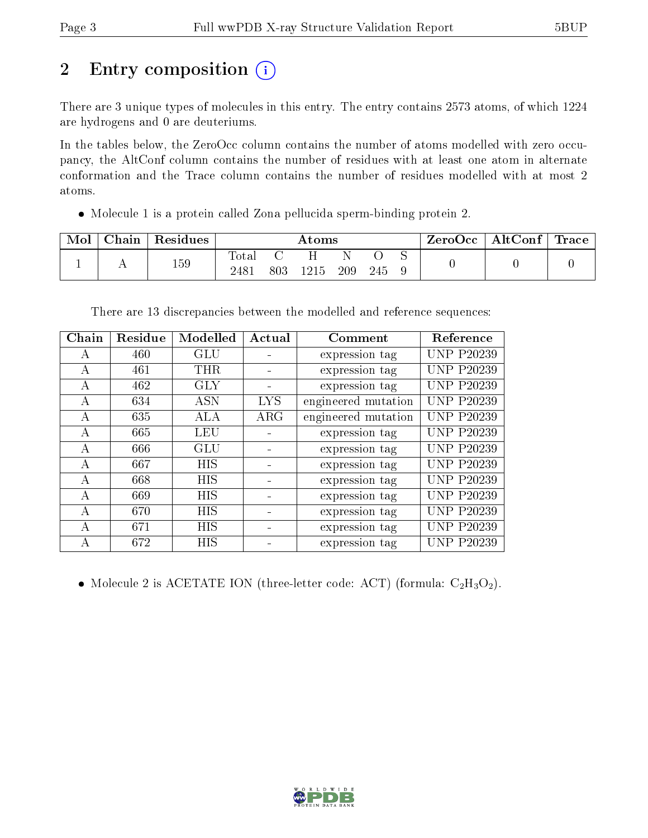# 2 Entry composition (i)

There are 3 unique types of molecules in this entry. The entry contains 2573 atoms, of which 1224 are hydrogens and 0 are deuteriums.

In the tables below, the ZeroOcc column contains the number of atoms modelled with zero occupancy, the AltConf column contains the number of residues with at least one atom in alternate conformation and the Trace column contains the number of residues modelled with at most 2 atoms.

Molecule 1 is a protein called Zona pellucida sperm-binding protein 2.

| Mol | ${\rm Chain}$ | Residues | Atoms         |     |      |     | ZeroOcc | AltConf | $^{\shortmid}$ Trace |  |  |
|-----|---------------|----------|---------------|-----|------|-----|---------|---------|----------------------|--|--|
|     | . .           | 159      | Total<br>2481 | 803 | 1215 | 209 | 245     |         |                      |  |  |

There are 13 discrepancies between the modelled and reference sequences:

| Chain        | Residue | Modelled   | Actual     | Comment             | Reference         |
|--------------|---------|------------|------------|---------------------|-------------------|
| $\mathsf{A}$ | 460     | <b>GLU</b> |            | expression tag      | <b>UNP P20239</b> |
| A            | 461     | <b>THR</b> |            | expression tag      | <b>UNP P20239</b> |
| A            | 462     | GLY        |            | expression tag      | UNP P20239        |
| A            | 634     | <b>ASN</b> | <b>LYS</b> | engineered mutation | <b>UNP P20239</b> |
| A            | 635     | ALA        | $\rm{ARG}$ | engineered mutation | <b>UNP P20239</b> |
| А            | 665     | <b>LEU</b> |            | expression tag      | <b>UNP P20239</b> |
| $\mathsf{A}$ | 666     | GLU        |            | expression tag      | <b>UNP P20239</b> |
| $\mathsf{A}$ | 667     | HIS        |            | expression tag      | <b>UNP P20239</b> |
| A            | 668     | HIS        |            | expression tag      | <b>UNP P20239</b> |
| А            | 669     | HIS        |            | expression tag      | <b>UNP P20239</b> |
| A            | 670     | <b>HIS</b> |            | expression tag      | <b>UNP P20239</b> |
| A            | 671     | HIS        |            | expression tag      | <b>UNP P20239</b> |
| А            | 672     | HIS        |            | expression tag      | <b>UNP P20239</b> |

• Molecule 2 is ACETATE ION (three-letter code: ACT) (formula:  $C_2H_3O_2$ ).

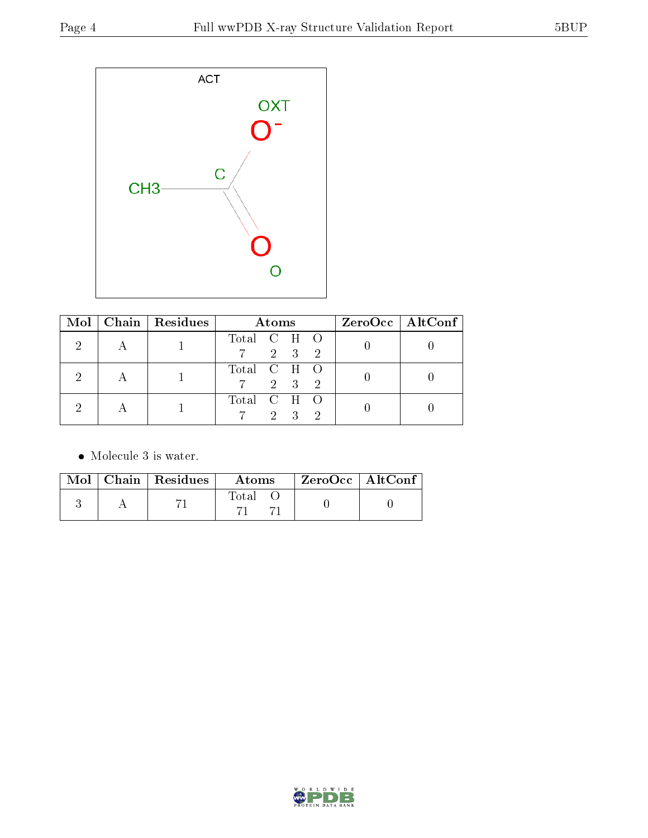

| $Mol \mid$ | $\mid$ Chain $\mid$ Residues | <b>Atoms</b>                                   | $ZeroOcc \mid AltConf \mid$ |
|------------|------------------------------|------------------------------------------------|-----------------------------|
|            |                              | Total C H O<br>2 3<br>$\rightarrow$            |                             |
|            |                              | Total C H O<br>2 3<br>$\sim 2$                 |                             |
|            |                              | Total C H O<br>$2 \cdot$<br>$\mathcal{R}$<br>2 |                             |

• Molecule 3 is water.

|  | $\blacksquare$ Mol $\parallel$ Chain $\parallel$ Residues | Atoms | ZeroOcc   AltConf |  |
|--|-----------------------------------------------------------|-------|-------------------|--|
|  |                                                           | Total |                   |  |

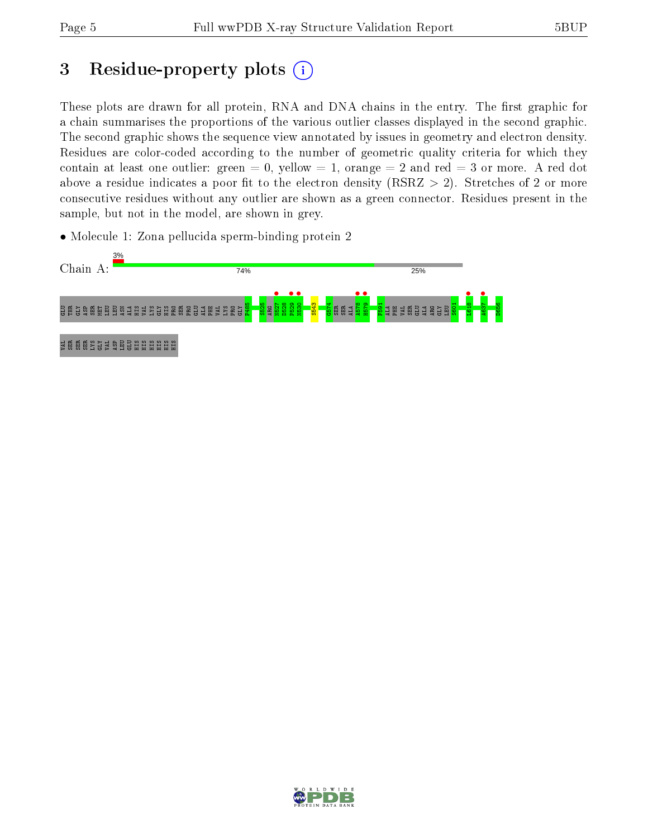# 3 Residue-property plots  $(i)$

These plots are drawn for all protein, RNA and DNA chains in the entry. The first graphic for a chain summarises the proportions of the various outlier classes displayed in the second graphic. The second graphic shows the sequence view annotated by issues in geometry and electron density. Residues are color-coded according to the number of geometric quality criteria for which they contain at least one outlier: green  $= 0$ , yellow  $= 1$ , orange  $= 2$  and red  $= 3$  or more. A red dot above a residue indicates a poor fit to the electron density (RSRZ  $> 2$ ). Stretches of 2 or more consecutive residues without any outlier are shown as a green connector. Residues present in the sample, but not in the model, are shown in grey.

• Molecule 1: Zona pellucida sperm-binding protein 2



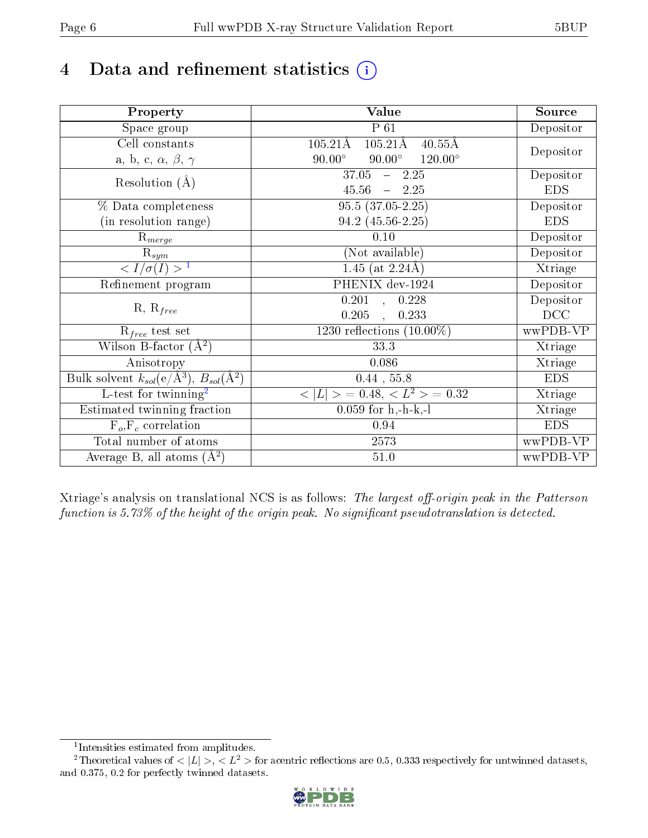# 4 Data and refinement statistics  $(i)$

| Property                                                   | <b>Value</b>                                                  | Source     |
|------------------------------------------------------------|---------------------------------------------------------------|------------|
| Space group                                                | $P_61$                                                        | Depositor  |
| Cell constants                                             | $105.21\text{\AA}$<br>$105.21\text{\AA}$<br>$40.55\text{\AA}$ |            |
| a, b, c, $\alpha$ , $\beta$ , $\gamma$                     | $90.00^\circ$<br>$90.00^\circ$<br>$120.00^{\circ}$            | Depositor  |
| Resolution $(A)$                                           | $37.05 - 2.25$                                                | Depositor  |
|                                                            | 45.56<br>$-2.25$                                              | <b>EDS</b> |
| % Data completeness                                        | $95.5(37.05-2.25)$                                            | Depositor  |
| (in resolution range)                                      | 94.2 (45.56-2.25)                                             | <b>EDS</b> |
| $R_{merge}$                                                | 0.10                                                          | Depositor  |
| $\mathrm{R}_{sym}$                                         | (Not available)                                               | Depositor  |
| $\langle I/\sigma(I) \rangle^{-1}$                         | 1.45 (at $2.24\text{\AA}$ )                                   | Xtriage    |
| Refinement program                                         | PHENIX dev-1924                                               | Depositor  |
|                                                            | $\overline{0.201}$ ,<br>0.228                                 | Depositor  |
| $R, R_{free}$                                              | 0.205<br>0.233                                                | DCC        |
| $R_{free}$ test set                                        | 1230 reflections $(10.00\%)$                                  | wwPDB-VP   |
| Wilson B-factor $(A^2)$                                    | 33.3                                                          | Xtriage    |
| Anisotropy                                                 | 0.086                                                         | Xtriage    |
| Bulk solvent $k_{sol}$ (e/Å <sup>3</sup> ), $B_{sol}(A^2)$ | $0.44$ , 55.8                                                 | <b>EDS</b> |
| $\overline{L-test for}$ twinning <sup>2</sup>              | $< L >$ = 0.48, $< L2$ = 0.32                                 | Xtriage    |
| Estimated twinning fraction                                | $0.059$ for h,-h-k,-l                                         | Xtriage    |
| $F_o, F_c$ correlation                                     | 0.94                                                          | <b>EDS</b> |
| Total number of atoms                                      | 2573                                                          | wwPDB-VP   |
| Average B, all atoms $(A^2)$                               | $51.0\,$                                                      | wwPDB-VP   |

Xtriage's analysis on translational NCS is as follows: The largest off-origin peak in the Patterson function is  $5.73\%$  of the height of the origin peak. No significant pseudotranslation is detected.

<sup>&</sup>lt;sup>2</sup>Theoretical values of  $\langle |L| \rangle$ ,  $\langle L^2 \rangle$  for acentric reflections are 0.5, 0.333 respectively for untwinned datasets, and 0.375, 0.2 for perfectly twinned datasets.



<span id="page-5-1"></span><span id="page-5-0"></span><sup>1</sup> Intensities estimated from amplitudes.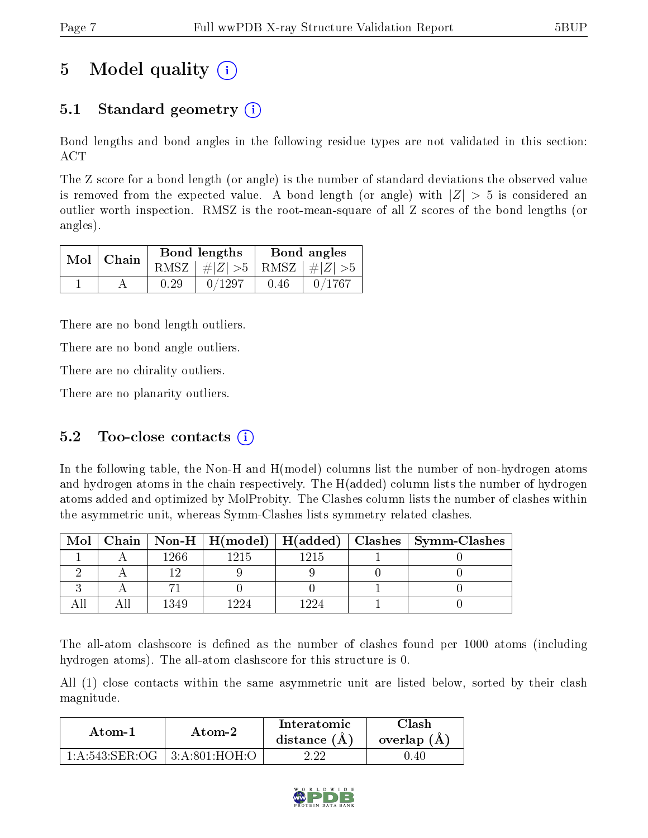# 5 Model quality  $(i)$

## 5.1 Standard geometry  $\overline{()}$

Bond lengths and bond angles in the following residue types are not validated in this section: ACT

The Z score for a bond length (or angle) is the number of standard deviations the observed value is removed from the expected value. A bond length (or angle) with  $|Z| > 5$  is considered an outlier worth inspection. RMSZ is the root-mean-square of all Z scores of the bond lengths (or angles).

| $Mol$   Chain |      | Bond lengths                    | Bond angles |        |  |
|---------------|------|---------------------------------|-------------|--------|--|
|               |      | RMSZ $ #Z  > 5$ RMSZ $ #Z  > 5$ |             |        |  |
|               | 0.29 | 0/1297                          | 0.46        | 0/1767 |  |

There are no bond length outliers.

There are no bond angle outliers.

There are no chirality outliers.

There are no planarity outliers.

#### 5.2 Too-close contacts  $(i)$

In the following table, the Non-H and H(model) columns list the number of non-hydrogen atoms and hydrogen atoms in the chain respectively. The H(added) column lists the number of hydrogen atoms added and optimized by MolProbity. The Clashes column lists the number of clashes within the asymmetric unit, whereas Symm-Clashes lists symmetry related clashes.

| Mol |      |      |      | Chain   Non-H   H(model)   H(added)   Clashes   Symm-Clashes |
|-----|------|------|------|--------------------------------------------------------------|
|     | 1266 | 1215 | 1215 |                                                              |
|     |      |      |      |                                                              |
|     |      |      |      |                                                              |
|     | 1349 |      |      |                                                              |

The all-atom clashscore is defined as the number of clashes found per 1000 atoms (including hydrogen atoms). The all-atom clashscore for this structure is 0.

All (1) close contacts within the same asymmetric unit are listed below, sorted by their clash magnitude.

| Atom-1                               | Atom-2 | <b>Interatomic</b><br>distance $(A)$ | <b>Clash</b><br>overlap $(A)$ |
|--------------------------------------|--------|--------------------------------------|-------------------------------|
| $1:A:543:SER:OG \perp 3:A:801:HOH:O$ |        |                                      | 0.40                          |

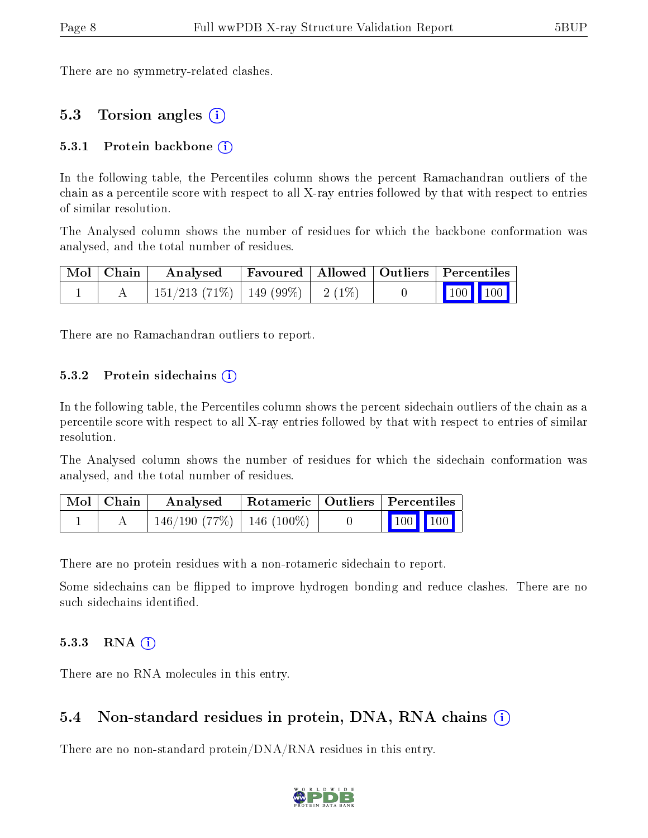There are no symmetry-related clashes.

#### 5.3 Torsion angles (i)

#### 5.3.1 Protein backbone  $(i)$

In the following table, the Percentiles column shows the percent Ramachandran outliers of the chain as a percentile score with respect to all X-ray entries followed by that with respect to entries of similar resolution.

The Analysed column shows the number of residues for which the backbone conformation was analysed, and the total number of residues.

| Mol   Chain | Analysed Favoured   Allowed   Outliers   Percentiles |  |  |  |                                        |  |
|-------------|------------------------------------------------------|--|--|--|----------------------------------------|--|
|             | $151/213$ (71\%)   149 (99\%)   2 (1\%)              |  |  |  | $\boxed{100}$ $\boxed{100}$ $\boxed{}$ |  |

There are no Ramachandran outliers to report.

#### 5.3.2 Protein sidechains  $\hat{I}$

In the following table, the Percentiles column shows the percent sidechain outliers of the chain as a percentile score with respect to all X-ray entries followed by that with respect to entries of similar resolution.

The Analysed column shows the number of residues for which the sidechain conformation was analysed, and the total number of residues.

| Mol   Chain | Analysed                       | Rotameric   Outliers   Percentiles |                                                            |
|-------------|--------------------------------|------------------------------------|------------------------------------------------------------|
|             | $146/190$ (77\%)   146 (100\%) |                                    | $\begin{array}{ c c c c }\n\hline\n100 & 100\n\end{array}$ |

There are no protein residues with a non-rotameric sidechain to report.

Some sidechains can be flipped to improve hydrogen bonding and reduce clashes. There are no such sidechains identified.

#### 5.3.3 RNA  $(i)$

There are no RNA molecules in this entry.

#### 5.4 Non-standard residues in protein, DNA, RNA chains  $(i)$

There are no non-standard protein/DNA/RNA residues in this entry.

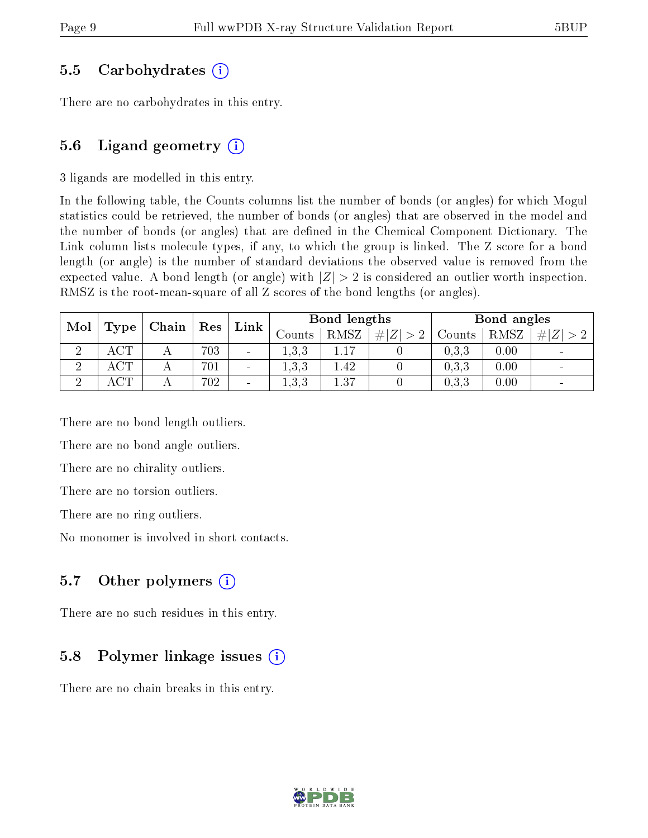#### 5.5 Carbohydrates (i)

There are no carbohydrates in this entry.

### 5.6 Ligand geometry  $(i)$

3 ligands are modelled in this entry.

In the following table, the Counts columns list the number of bonds (or angles) for which Mogul statistics could be retrieved, the number of bonds (or angles) that are observed in the model and the number of bonds (or angles) that are defined in the Chemical Component Dictionary. The Link column lists molecule types, if any, to which the group is linked. The Z score for a bond length (or angle) is the number of standard deviations the observed value is removed from the expected value. A bond length (or angle) with  $|Z| > 2$  is considered an outlier worth inspection. RMSZ is the root-mean-square of all Z scores of the bond lengths (or angles).

| Mol<br>Type |           | Chain | $\operatorname{Res}$ | $^{\prime}$ Link         |         | Bond lengths |        | Bond angles |      |                |
|-------------|-----------|-------|----------------------|--------------------------|---------|--------------|--------|-------------|------|----------------|
|             |           |       |                      | Counts                   | RMSZ    | # $ Z  > 2$  | Counts | RMSZ        | # Z  |                |
|             | $\cap$ m  |       | 703                  | $\sim$                   | 1.3.3   |              |        | 0,3,3       | 0.00 | $\sim$         |
| $\Omega$    | $\rm ACT$ |       | 701                  | $\overline{\phantom{a}}$ | 1, 3, 3 | 1.42         |        | 0,3,3       | 0.00 | $\sim$         |
| $\Omega$    | $\cap$ TT |       | 702                  | $\overline{\phantom{0}}$ | 1,3,3   | $1.37\,$     |        | 0.3, 3      | 0.00 | $\blacksquare$ |

There are no bond length outliers.

There are no bond angle outliers.

There are no chirality outliers.

There are no torsion outliers.

There are no ring outliers.

No monomer is involved in short contacts.

### 5.7 [O](https://www.wwpdb.org/validation/2017/XrayValidationReportHelp#nonstandard_residues_and_ligands)ther polymers  $(i)$

There are no such residues in this entry.

### 5.8 Polymer linkage issues  $(i)$

There are no chain breaks in this entry.

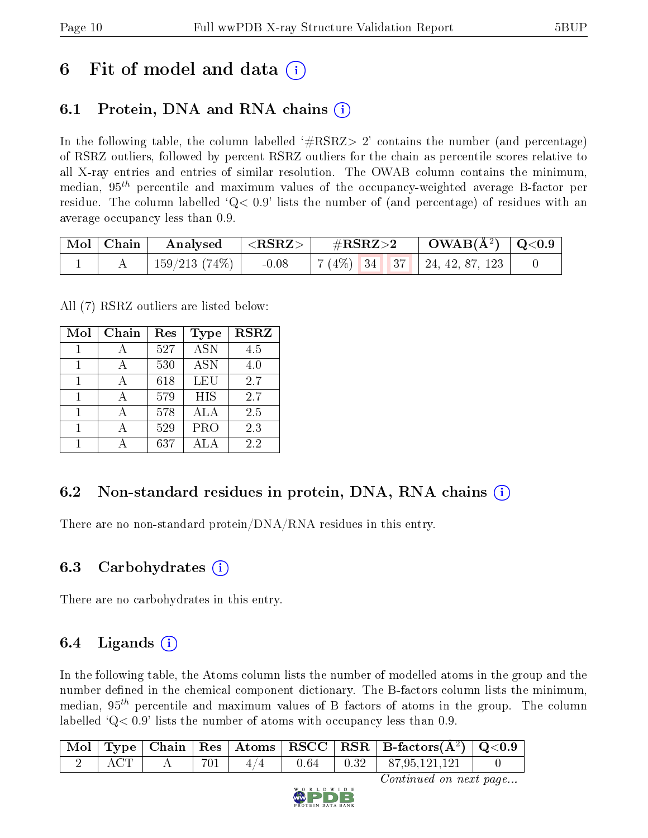## 6 Fit of model and data  $\left( \cdot \right)$

## 6.1 Protein, DNA and RNA chains (i)

In the following table, the column labelled  $#RSRZ>2'$  contains the number (and percentage) of RSRZ outliers, followed by percent RSRZ outliers for the chain as percentile scores relative to all X-ray entries and entries of similar resolution. The OWAB column contains the minimum, median,  $95<sup>th</sup>$  percentile and maximum values of the occupancy-weighted average B-factor per residue. The column labelled  $Q< 0.9$  lists the number of (and percentage) of residues with an average occupancy less than 0.9.

| $\vert$ Mol $\vert$ Chain $\vert$ | $\mid$ Analysed $\mid$ <rsrz> <math>\mid</math></rsrz> |         | $\rm \#RSRZ{>}2$ |  | $\text{OWAB}(\AA^2)$ $\mid$ Q<0.9 |                                     |  |
|-----------------------------------|--------------------------------------------------------|---------|------------------|--|-----------------------------------|-------------------------------------|--|
|                                   | 159/213 (74%)                                          | $-0.08$ |                  |  |                                   | $\mid 7(4\%)$ 34 37 24, 42, 87, 123 |  |

All (7) RSRZ outliers are listed below:

| Mol | Chain | Res | Type       | <b>RSRZ</b> |
|-----|-------|-----|------------|-------------|
|     |       | 527 | <b>ASN</b> | 4.5         |
| 1   |       | 530 | <b>ASN</b> | 4.0         |
| 1   |       | 618 | <b>LEU</b> | 2.7         |
| 1   |       | 579 | <b>HIS</b> | 2.7         |
|     |       | 578 | ALA        | 2.5         |
| 1   |       | 529 | PRO        | 2.3         |
|     |       | 637 |            | 22          |

### 6.2 Non-standard residues in protein, DNA, RNA chains  $(i)$

There are no non-standard protein/DNA/RNA residues in this entry.

### 6.3 Carbohydrates  $(i)$

There are no carbohydrates in this entry.

### 6.4 Ligands  $(i)$

In the following table, the Atoms column lists the number of modelled atoms in the group and the number defined in the chemical component dictionary. The B-factors column lists the minimum, median,  $95<sup>th</sup>$  percentile and maximum values of B factors of atoms in the group. The column labelled  $Q< 0.9$  lists the number of atoms with occupancy less than 0.9.

|  |  |  | $\boxed{\text{ Mol}}$ Type   Chain   Res   Atoms   RSCC   RSR   B-factors $(\AA^2)$   Q<0.9 |  |
|--|--|--|---------------------------------------------------------------------------------------------|--|
|  |  |  | 2   ACT   A   701   $4/4$   0.64   0.32   87,95,121,121                                     |  |

Continued on next page...